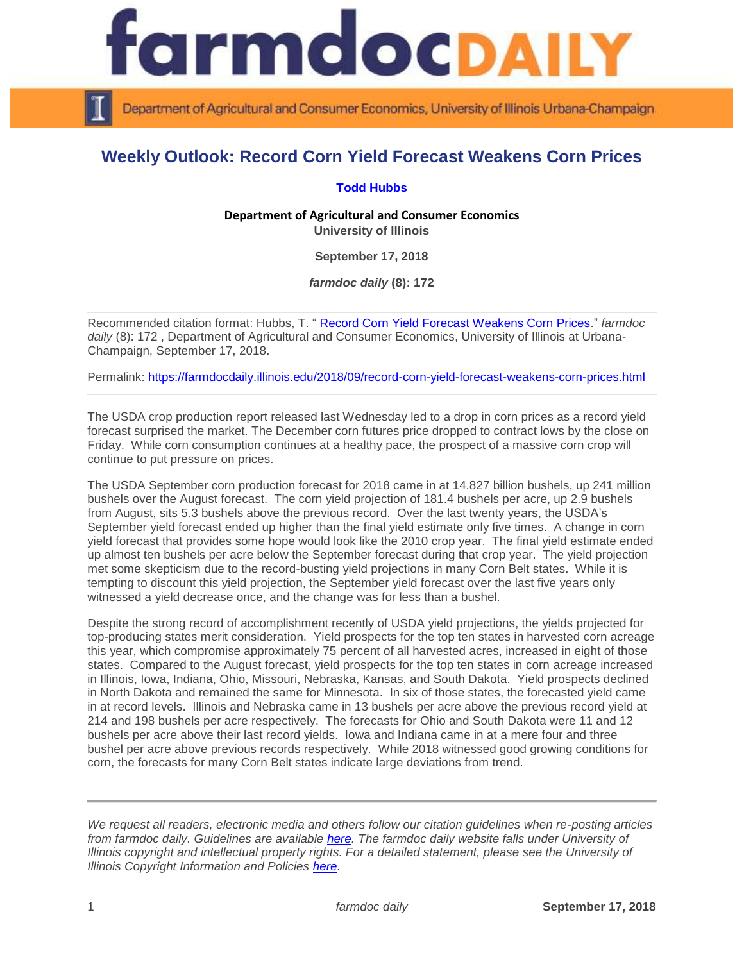

Department of Agricultural and Consumer Economics, University of Illinois Urbana-Champaign

## **Weekly Outlook: Record Corn Yield Forecast Weakens Corn Prices**

## **[Todd Hubbs](https://ace.illinois.edu/directory/jhubbs3)**

**Department of Agricultural and Consumer Economics University of Illinois**

**September 17, 2018**

*farmdoc daily* **(8): 172**

Recommended citation format: Hubbs, T. " [Record Corn Yield Forecast Weakens Corn Prices.](https://farmdocdaily.illinois.edu/2018/09/record-corn-yield-forecast-weakens-corn-prices.html)" *farmdoc daily* (8): 172 , Department of Agricultural and Consumer Economics, University of Illinois at Urbana-Champaign, September 17, 2018.

Permalink:<https://farmdocdaily.illinois.edu/2018/09/record-corn-yield-forecast-weakens-corn-prices.html>

The USDA crop production report released last Wednesday led to a drop in corn prices as a record yield forecast surprised the market. The December corn futures price dropped to contract lows by the close on Friday. While corn consumption continues at a healthy pace, the prospect of a massive corn crop will continue to put pressure on prices.

The USDA September corn production forecast for 2018 came in at 14.827 billion bushels, up 241 million bushels over the August forecast. The corn yield projection of 181.4 bushels per acre, up 2.9 bushels from August, sits 5.3 bushels above the previous record. Over the last twenty years, the USDA's September yield forecast ended up higher than the final yield estimate only five times. A change in corn yield forecast that provides some hope would look like the 2010 crop year. The final yield estimate ended up almost ten bushels per acre below the September forecast during that crop year. The yield projection met some skepticism due to the record-busting yield projections in many Corn Belt states. While it is tempting to discount this yield projection, the September yield forecast over the last five years only witnessed a yield decrease once, and the change was for less than a bushel.

Despite the strong record of accomplishment recently of USDA yield projections, the yields projected for top-producing states merit consideration. Yield prospects for the top ten states in harvested corn acreage this year, which compromise approximately 75 percent of all harvested acres, increased in eight of those states. Compared to the August forecast, yield prospects for the top ten states in corn acreage increased in Illinois, Iowa, Indiana, Ohio, Missouri, Nebraska, Kansas, and South Dakota. Yield prospects declined in North Dakota and remained the same for Minnesota. In six of those states, the forecasted yield came in at record levels. Illinois and Nebraska came in 13 bushels per acre above the previous record yield at 214 and 198 bushels per acre respectively. The forecasts for Ohio and South Dakota were 11 and 12 bushels per acre above their last record yields. Iowa and Indiana came in at a mere four and three bushel per acre above previous records respectively. While 2018 witnessed good growing conditions for corn, the forecasts for many Corn Belt states indicate large deviations from trend.

*We request all readers, electronic media and others follow our citation guidelines when re-posting articles from farmdoc daily. Guidelines are available [here.](http://farmdocdaily.illinois.edu/citationguide.html) The farmdoc daily website falls under University of Illinois copyright and intellectual property rights. For a detailed statement, please see the University of Illinois Copyright Information and Policies [here.](http://www.cio.illinois.edu/policies/copyright/)*